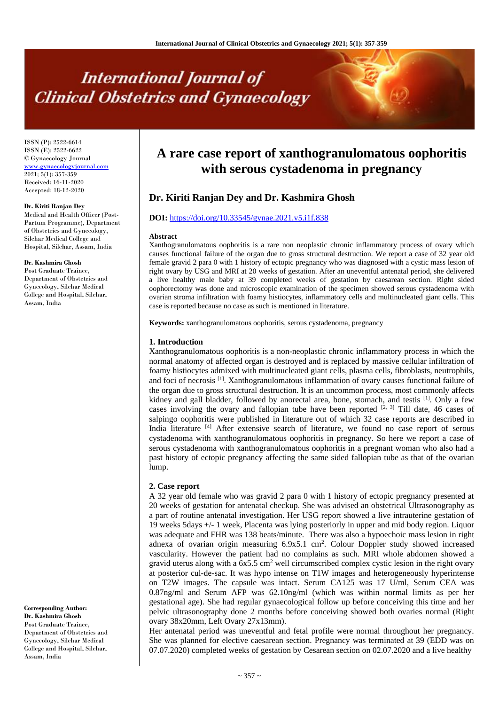# **International Journal of Clinical Obstetrics and Gynaecology**

ISSN (P): 2522-6614 ISSN (E): 2522-6622 © Gynaecology Journal <www.gynaecologyjournal.com> 2021; 5(1): 357-359 Received: 16-11-2020 Accepted: 18-12-2020

#### **Dr. Kiriti Ranjan Dey**

Medical and Health Officer (Post-Partum Programme), Department of Obstetrics and Gynecology, Silchar Medical College and Hospital, Silchar, Assam, India

#### **Dr. Kashmira Ghosh**

Post Graduate Trainee, Department of Obstetrics and Gynecology, Silchar Medical College and Hospital, Silchar, Assam, India

**Corresponding Author: Dr. Kashmira Ghosh** Post Graduate Trainee, Department of Obstetrics and Gynecology, Silchar Medical College and Hospital, Silchar, Assam, India

# **A rare case report of xanthogranulomatous oophoritis with serous cystadenoma in pregnancy**

# **Dr. Kiriti Ranjan Dey and Dr. Kashmira Ghosh**

#### **DOI:** <https://doi.org/10.33545/gynae.2021.v5.i1f.838>

#### **Abstract**

Xanthogranulomatous oophoritis is a rare non neoplastic chronic inflammatory process of ovary which causes functional failure of the organ due to gross structural destruction. We report a case of 32 year old female gravid 2 para 0 with 1 history of ectopic pregnancy who was diagnosed with a cystic mass lesion of right ovary by USG and MRI at 20 weeks of gestation. After an uneventful antenatal period, she delivered a live healthy male baby at 39 completed weeks of gestation by caesarean section. Right sided oophorectomy was done and microscopic examination of the specimen showed serous cystadenoma with ovarian stroma infiltration with foamy histiocytes, inflammatory cells and multinucleated giant cells. This case is reported because no case as such is mentioned in literature.

**Keywords:** xanthogranulomatous oophoritis, serous cystadenoma, pregnancy

#### **1. Introduction**

Xanthogranulomatous oophoritis is a non-neoplastic chronic inflammatory process in which the normal anatomy of affected organ is destroyed and is replaced by massive cellular infiltration of foamy histiocytes admixed with multinucleated giant cells, plasma cells, fibroblasts, neutrophils, and foci of necrosis [1]. Xanthogranulomatous inflammation of ovary causes functional failure of the organ due to gross structural destruction. It is an uncommon process, most commonly affects kidney and gall bladder, followed by anorectal area, bone, stomach, and test is  $[1]$ . Only a few cases involving the ovary and fallopian tube have been reported  $[2, 3]$  Till date, 46 cases of salpingo oophoritis were published in literature out of which 32 case reports are described in India literature [4] After extensive search of literature, we found no case report of serous cystadenoma with xanthogranulomatous oophoritis in pregnancy. So here we report a case of serous cystadenoma with xanthogranulomatous oophoritis in a pregnant woman who also had a past history of ectopic pregnancy affecting the same sided fallopian tube as that of the ovarian lump.

#### **2. Case report**

A 32 year old female who was gravid 2 para 0 with 1 history of ectopic pregnancy presented at 20 weeks of gestation for antenatal checkup. She was advised an obstetrical Ultrasonography as a part of routine antenatal investigation. Her USG report showed a live intrauterine gestation of 19 weeks 5days +/- 1 week, Placenta was lying posteriorly in upper and mid body region. Liquor was adequate and FHR was 138 beats/minute. There was also a hypoechoic mass lesion in right adnexa of ovarian origin measuring 6.9x5.1 cm<sup>2</sup>. Colour Doppler study showed increased vascularity. However the patient had no complains as such. MRI whole abdomen showed a gravid uterus along with a  $6x5.5$  cm<sup>2</sup> well circumscribed complex cystic lesion in the right ovary at posterior cul-de-sac. It was hypo intense on T1W images and heterogeneously hyperintense on T2W images. The capsule was intact. Serum CA125 was 17 U/ml, Serum CEA was 0.87ng/ml and Serum AFP was 62.10ng/ml (which was within normal limits as per her gestational age). She had regular gynaecological follow up before conceiving this time and her pelvic ultrasonography done 2 months before conceiving showed both ovaries normal (Right ovary 38x20mm, Left Ovary 27x13mm).

Her antenatal period was uneventful and fetal profile were normal throughout her pregnancy. She was planned for elective caesarean section. Pregnancy was terminated at 39 (EDD was on 07.07.2020) completed weeks of gestation by Cesarean section on 02.07.2020 and a live healthy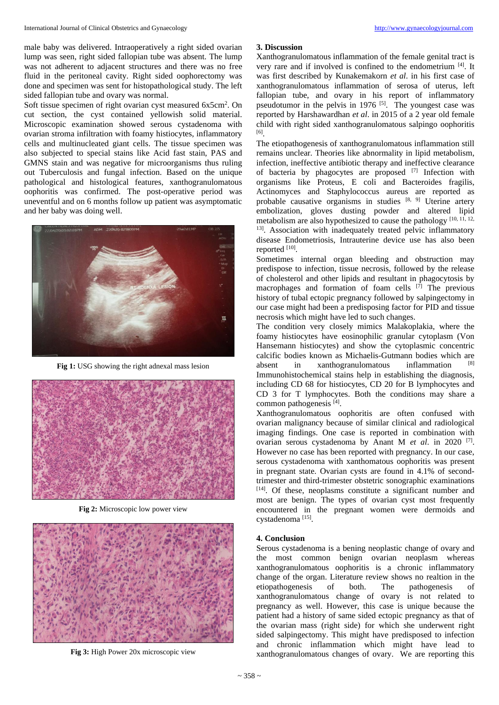male baby was delivered. Intraoperatively a right sided ovarian lump was seen, right sided fallopian tube was absent. The lump was not adherent to adjacent structures and there was no free fluid in the peritoneal cavity. Right sided oophorectomy was done and specimen was sent for histopathological study. The left sided fallopian tube and ovary was normal.

Soft tissue specimen of right ovarian cyst measured 6x5cm<sup>2</sup>. On cut section, the cyst contained yellowish solid material. Microscopic examination showed serous cystadenoma with ovarian stroma infiltration with foamy histiocytes, inflammatory cells and multinucleated giant cells. The tissue specimen was also subjected to special stains like Acid fast stain, PAS and GMNS stain and was negative for microorganisms thus ruling out Tuberculosis and fungal infection. Based on the unique pathological and histological features, xanthogranulomatous oophoritis was confirmed. The post-operative period was uneventful and on 6 months follow up patient was asymptomatic and her baby was doing well.



**Fig 1:** USG showing the right adnexal mass lesion



**Fig 2:** Microscopic low power view



**Fig 3:** High Power 20x microscopic view

## **3. Discussion**

Xanthogranulomatous inflammation of the female genital tract is very rare and if involved is confined to the endometrium [4]. It was first described by Kunakemakorn *et al*. in his first case of xanthogranulomatous inflammation of serosa of uterus, left fallopian tube, and ovary in his report of inflammatory pseudotumor in the pelvis in 1976  $[5]$ . The youngest case was reported by Harshawardhan *et al*. in 2015 of a 2 year old female child with right sided xanthogranulomatous salpingo oophoritis [6] .

The etiopathogenesis of xanthogranulomatous inflammation still remains unclear. Theories like abnormality in lipid metabolism, infection, ineffective antibiotic therapy and ineffective clearance of bacteria by phagocytes are proposed [7] Infection with organisms like Proteus, E coli and Bacteroides fragilis, Actinomyces and Staphylococcus aureus are reported as probable causative organisms in studies [8, 9] Uterine artery embolization, gloves dusting powder and altered lipid metabolism are also hypothesized to cause the pathology [10, 11, 12, <sup>13]</sup>. Association with inadequately treated pelvic inflammatory disease Endometriosis, Intrauterine device use has also been reported [10].

Sometimes internal organ bleeding and obstruction may predispose to infection, tissue necrosis, followed by the release of cholesterol and other lipids and resultant in phagocytosis by macrophages and formation of foam cells  $[7]$  The previous history of tubal ectopic pregnancy followed by salpingectomy in our case might had been a predisposing factor for PID and tissue necrosis which might have led to such changes.

The condition very closely mimics Malakoplakia, where the foamy histiocytes have eosinophilic granular cytoplasm (Von Hansemann histiocytes) and show the cytoplasmic concentric calcific bodies known as Michaelis-Gutmann bodies which are absent in xanthogranulomatous inflammation Immunohistochemical stains help in establishing the diagnosis, including CD 68 for histiocytes, CD 20 for B lymphocytes and CD 3 for T lymphocytes. Both the conditions may share a common pathogenesis [4] .

Xanthogranulomatous oophoritis are often confused with ovarian malignancy because of similar clinical and radiological imaging findings. One case is reported in combination with ovarian serous cystadenoma by Anant M *et al*. in 2020 [7] . However no case has been reported with pregnancy. In our case, serous cystadenoma with xanthomatous oophoritis was present in pregnant state. Ovarian cysts are found in 4.1% of secondtrimester and third-trimester obstetric sonographic examinations [14]. Of these, neoplasms constitute a significant number and most are benign. The types of ovarian cyst most frequently encountered in the pregnant women were dermoids and cystadenoma<sup>[15]</sup>.

## **4. Conclusion**

Serous cystadenoma is a bening neoplastic change of ovary and the most common benign ovarian neoplasm whereas xanthogranulomatous oophoritis is a chronic inflammatory change of the organ. Literature review shows no realtion in the etiopathogenesis of both. The pathogenesis of xanthogranulomatous change of ovary is not related to pregnancy as well. However, this case is unique because the patient had a history of same sided ectopic pregnancy as that of the ovarian mass (right side) for which she underwent right sided salpingectomy. This might have predisposed to infection and chronic inflammation which might have lead to xanthogranulomatous changes of ovary. We are reporting this